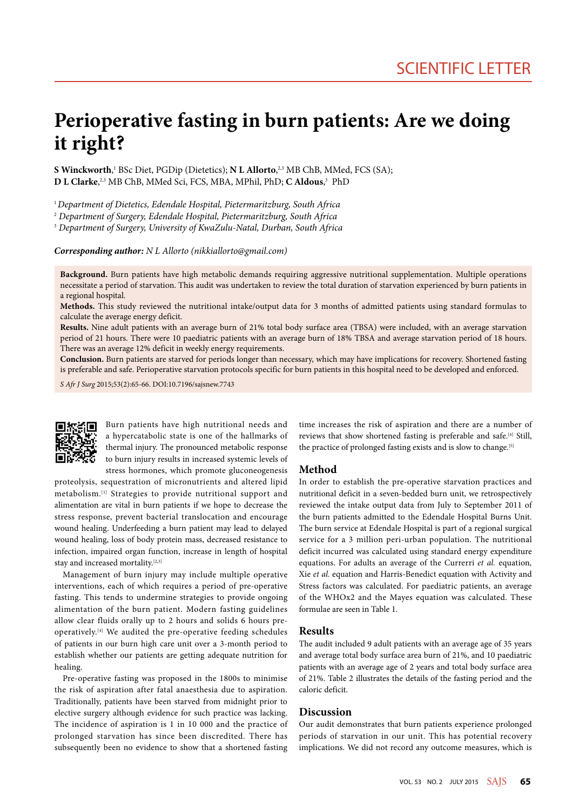# **Perioperative fasting in burn patients: Are we doing it right?**

**S Winckworth**, 1 BSc Diet, PGDip (Dietetics); **N L Allorto**, 2,3 MB ChB, MMed, FCS (SA); **D L Clarke**, 2,3 MB ChB, MMed Sci, FCS, MBA, MPhil, PhD; **C Aldous**, 3 PhD

<sup>1</sup>*Department of Dietetics, Edendale Hospital, Pietermaritzburg, South Africa*

2  *Department of Surgery, Edendale Hospital, Pietermaritzburg, South Africa*

3  *Department of Surgery, University of KwaZulu-Natal, Durban, South Africa*

*Corresponding author: N L Allorto (nikkiallorto@gmail.com)*

**Background.** Burn patients have high metabolic demands requiring aggressive nutritional supplementation. Multiple operations necessitate a period of starvation. This audit was undertaken to review the total duration of starvation experienced by burn patients in a regional hospital.

**Methods.** This study reviewed the nutritional intake/output data for 3 months of admitted patients using standard formulas to calculate the average energy deficit.

**Results.** Nine adult patients with an average burn of 21% total body surface area (TBSA) were included, with an average starvation period of 21 hours. There were 10 paediatric patients with an average burn of 18% TBSA and average starvation period of 18 hours. There was an average 12% deficit in weekly energy requirements.

**Conclusion.** Burn patients are starved for periods longer than necessary, which may have implications for recovery. Shortened fasting is preferable and safe. Perioperative starvation protocols specific for burn patients in this hospital need to be developed and enforced.

*S Afr J Surg* 2015;53(2):65-66. DOI:10.7196/sajsnew.7743



Burn patients have high nutritional needs and a hypercatabolic state is one of the hallmarks of thermal injury. The pronounced metabolic response to burn injury results in increased systemic levels of stress hormones, which promote gluconeogenesis

proteolysis, sequestration of micronutrients and altered lipid metabolism.[1] Strategies to provide nutritional support and alimentation are vital in burn patients if we hope to decrease the stress response, prevent bacterial translocation and encourage wound healing. Underfeeding a burn patient may lead to delayed wound healing, loss of body protein mass, decreased resistance to infection, impaired organ function, increase in length of hospital stay and increased mortality.[2,3]

Management of burn injury may include multiple operative interventions, each of which requires a period of pre-operative fasting. This tends to undermine strategies to provide ongoing alimentation of the burn patient. Modern fasting guidelines allow clear fluids orally up to 2 hours and solids 6 hours preoperatively.[4] We audited the pre-operative feeding schedules of patients in our burn high care unit over a 3-month period to establish whether our patients are getting adequate nutrition for healing.

Pre-operative fasting was proposed in the 1800s to minimise the risk of aspiration after fatal anaesthesia due to aspiration. Traditionally, patients have been starved from midnight prior to elective surgery although evidence for such practice was lacking. The incidence of aspiration is 1 in 10 000 and the practice of prolonged starvation has since been discredited. There has subsequently been no evidence to show that a shortened fasting

time increases the risk of aspiration and there are a number of reviews that show shortened fasting is preferable and safe.<sup>[4]</sup> Still, the practice of prolonged fasting exists and is slow to change.<sup>[5]</sup>

## **Method**

In order to establish the pre-operative starvation practices and nutritional deficit in a seven-bedded burn unit, we retrospectively reviewed the intake output data from July to September 2011 of the burn patients admitted to the Edendale Hospital Burns Unit. The burn service at Edendale Hospital is part of a regional surgical service for a 3 million peri-urban population. The nutritional deficit incurred was calculated using standard energy expenditure equations. For adults an average of the Currerri *et al.* equation*,*  Xie *et al.* equation and Harris-Benedict equation with Activity and Stress factors was calculated. For paediatric patients, an average of the WHOx2 and the Mayes equation was calculated. These formulae are seen in Table 1.

#### **Results**

The audit included 9 adult patients with an average age of 35 years and average total body surface area burn of 21%, and 10 paediatric patients with an average age of 2 years and total body surface area of 21%. Table 2 illustrates the details of the fasting period and the caloric deficit.

# **Discussion**

Our audit demonstrates that burn patients experience prolonged periods of starvation in our unit. This has potential recovery implications. We did not record any outcome measures, which is